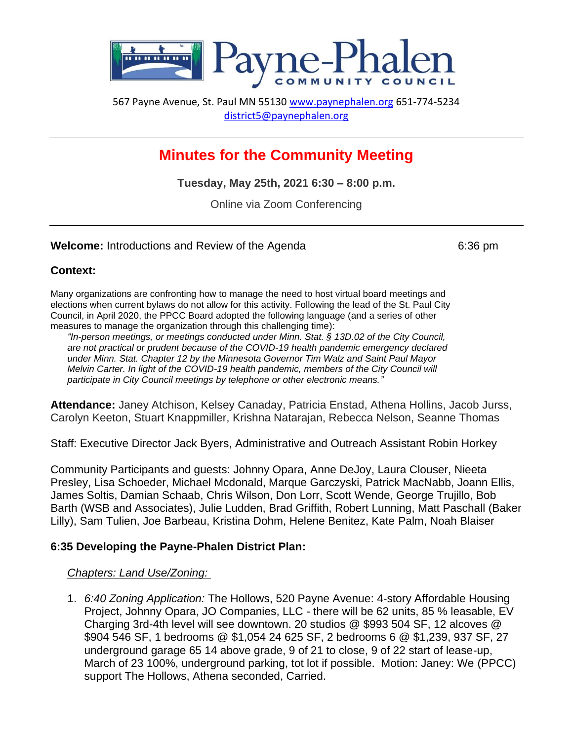

567 Payne Avenue, St. Paul MN 55130 [www.paynephalen.org](http://www.paynephalen.org/) 651-774-5234 [district5@paynephalen.org](mailto:district5@paynephalen.org)

# **Minutes for the Community Meeting**

**Tuesday, May 25th, 2021 6:30 – 8:00 p.m.**

Online via Zoom Conferencing

#### **Welcome:** Introductions and Review of the Agenda 6:36 pm

#### **Context:**

Many organizations are confronting how to manage the need to host virtual board meetings and elections when current bylaws do not allow for this activity. Following the lead of the St. Paul City Council, in April 2020, the PPCC Board adopted the following language (and a series of other measures to manage the organization through this challenging time):

*"In-person meetings, or meetings conducted under Minn. Stat. § 13D.02 of the City Council, are not practical or prudent because of the COVID-19 health pandemic emergency declared under Minn. Stat. Chapter 12 by the Minnesota Governor Tim Walz and Saint Paul Mayor Melvin Carter. In light of the COVID-19 health pandemic, members of the City Council will participate in City Council meetings by telephone or other electronic means."*

**Attendance:** Janey Atchison, Kelsey Canaday, Patricia Enstad, Athena Hollins, Jacob Jurss, Carolyn Keeton, Stuart Knappmiller, Krishna Natarajan, Rebecca Nelson, Seanne Thomas

Staff: Executive Director Jack Byers, Administrative and Outreach Assistant Robin Horkey

Community Participants and guests: Johnny Opara, Anne DeJoy, Laura Clouser, Nieeta Presley, Lisa Schoeder, Michael Mcdonald, Marque Garczyski, Patrick MacNabb, Joann Ellis, James Soltis, Damian Schaab, Chris Wilson, Don Lorr, Scott Wende, George Trujillo, Bob Barth (WSB and Associates), Julie Ludden, Brad Griffith, Robert Lunning, Matt Paschall (Baker Lilly), Sam Tulien, Joe Barbeau, Kristina Dohm, Helene Benitez, Kate Palm, Noah Blaiser

#### **6:35 Developing the Payne-Phalen District Plan:**

#### *Chapters: Land Use/Zoning:*

1. *6:40 Zoning Application:* The Hollows, 520 Payne Avenue: 4-story Affordable Housing Project, Johnny Opara, JO Companies, LLC - there will be 62 units, 85 % leasable, EV Charging 3rd-4th level will see downtown. 20 studios @ \$993 504 SF, 12 alcoves @ \$904 546 SF, 1 bedrooms @ \$1,054 24 625 SF, 2 bedrooms 6 @ \$1,239, 937 SF, 27 underground garage 65 14 above grade, 9 of 21 to close, 9 of 22 start of lease-up, March of 23 100%, underground parking, tot lot if possible. Motion: Janey: We (PPCC) support The Hollows, Athena seconded, Carried.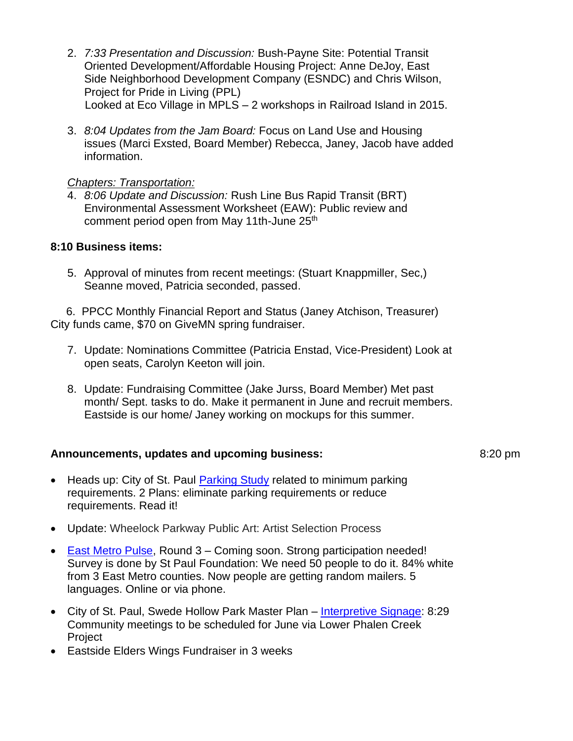- 2. *7:33 Presentation and Discussion:* Bush-Payne Site: Potential Transit Oriented Development/Affordable Housing Project: Anne DeJoy, East Side Neighborhood Development Company (ESNDC) and Chris Wilson, Project for Pride in Living (PPL) Looked at Eco Village in MPLS – 2 workshops in Railroad Island in 2015.
- 3. *8:04 Updates from the Jam Board:* Focus on Land Use and Housing issues (Marci Exsted, Board Member) Rebecca, Janey, Jacob have added information.

## *Chapters: Transportation:*

4. *8:06 Update and Discussion:* Rush Line Bus Rapid Transit (BRT) Environmental Assessment Worksheet (EAW): Public review and comment period open from May 11th-June 25<sup>th</sup>

## **8:10 Business items:**

5. Approval of minutes from recent meetings: (Stuart Knappmiller, Sec,) Seanne moved, Patricia seconded, passed.

 6. PPCC Monthly Financial Report and Status (Janey Atchison, Treasurer) City funds came, \$70 on GiveMN spring fundraiser.

- 7. Update: Nominations Committee (Patricia Enstad, Vice-President) Look at open seats, Carolyn Keeton will join.
- 8. Update: Fundraising Committee (Jake Jurss, Board Member) Met past month/ Sept. tasks to do. Make it permanent in June and recruit members. Eastside is our home/ Janey working on mockups for this summer.

## **Announcements, updates and upcoming business:** 8:20 pm

- Heads up: City of St. Paul [Parking Study](https://www.stpaul.gov/departments/planning-and-economic-development/planning/current-activities/parking-study) related to minimum parking requirements. 2 Plans: eliminate parking requirements or reduce requirements. Read it!
- Update: Wheelock Parkway Public Art: Artist Selection Process
- [East Metro Pulse,](https://www.spmcf.org/what-we-do/invest-in-community-led-solutions/east-metro-pulse-report) Round 3 Coming soon. Strong participation needed! Survey is done by St Paul Foundation: We need 50 people to do it. 84% white from 3 East Metro counties. Now people are getting random mailers. 5 languages. Online or via phone.
- City of St. Paul, Swede Hollow Park Master Plan [Interpretive Signage:](https://www.stpaul.gov/departments/parks-and-recreation/design-construction/current-projects/swede-hollow-park-signage) 8:29 Community meetings to be scheduled for June via Lower Phalen Creek Project
- Eastside Elders Wings Fundraiser in 3 weeks